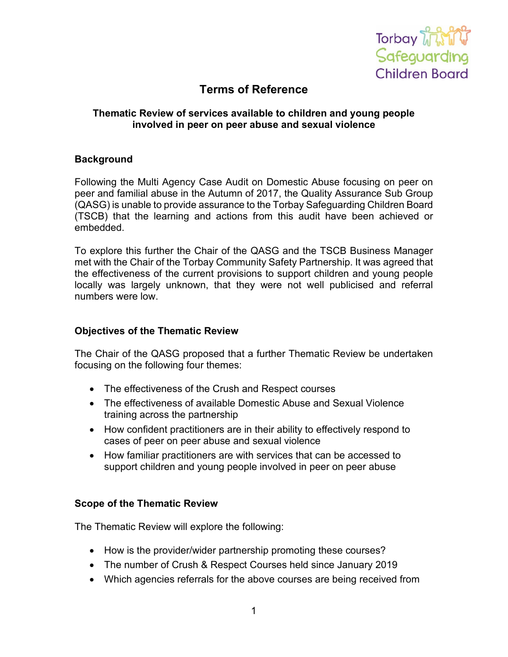

# **Terms of Reference**

### **Thematic Review of services available to children and young people involved in peer on peer abuse and sexual violence**

#### **Background**

Following the Multi Agency Case Audit on Domestic Abuse focusing on peer on peer and familial abuse in the Autumn of 2017, the Quality Assurance Sub Group (QASG) is unable to provide assurance to the Torbay Safeguarding Children Board (TSCB) that the learning and actions from this audit have been achieved or embedded.

To explore this further the Chair of the QASG and the TSCB Business Manager met with the Chair of the Torbay Community Safety Partnership. It was agreed that the effectiveness of the current provisions to support children and young people locally was largely unknown, that they were not well publicised and referral numbers were low.

#### **Objectives of the Thematic Review**

The Chair of the QASG proposed that a further Thematic Review be undertaken focusing on the following four themes:

- The effectiveness of the Crush and Respect courses
- The effectiveness of available Domestic Abuse and Sexual Violence training across the partnership
- How confident practitioners are in their ability to effectively respond to cases of peer on peer abuse and sexual violence
- How familiar practitioners are with services that can be accessed to support children and young people involved in peer on peer abuse

#### **Scope of the Thematic Review**

The Thematic Review will explore the following:

- How is the provider/wider partnership promoting these courses?
- The number of Crush & Respect Courses held since January 2019
- Which agencies referrals for the above courses are being received from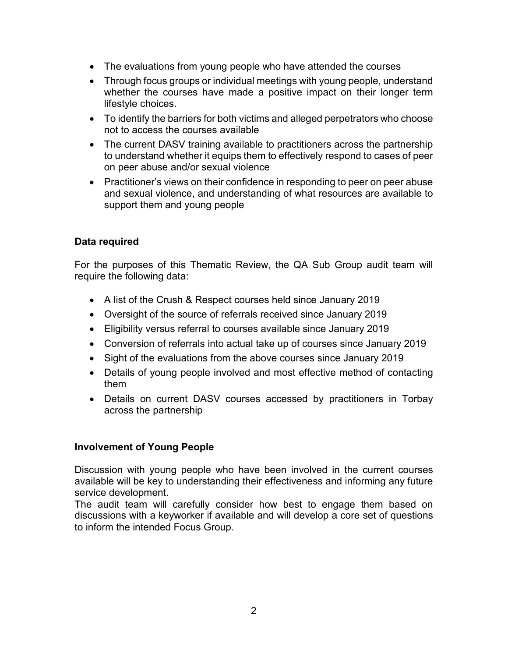- The evaluations from young people who have attended the courses
- Through focus groups or individual meetings with young people, understand whether the courses have made a positive impact on their longer term lifestyle choices.
- To identify the barriers for both victims and alleged perpetrators who choose not to access the courses available
- The current DASV training available to practitioners across the partnership to understand whether it equips them to effectively respond to cases of peer on peer abuse and/or sexual violence
- Practitioner's views on their confidence in responding to peer on peer abuse and sexual violence, and understanding of what resources are available to support them and young people

# **Data required**

For the purposes of this Thematic Review, the QA Sub Group audit team will require the following data:

- A list of the Crush & Respect courses held since January 2019
- Oversight of the source of referrals received since January 2019
- Eligibility versus referral to courses available since January 2019
- Conversion of referrals into actual take up of courses since January 2019
- Sight of the evaluations from the above courses since January 2019
- Details of young people involved and most effective method of contacting them
- Details on current DASV courses accessed by practitioners in Torbay across the partnership

#### **Involvement of Young People**

Discussion with young people who have been involved in the current courses available will be key to understanding their effectiveness and informing any future service development.

The audit team will carefully consider how best to engage them based on discussions with a keyworker if available and will develop a core set of questions to inform the intended Focus Group.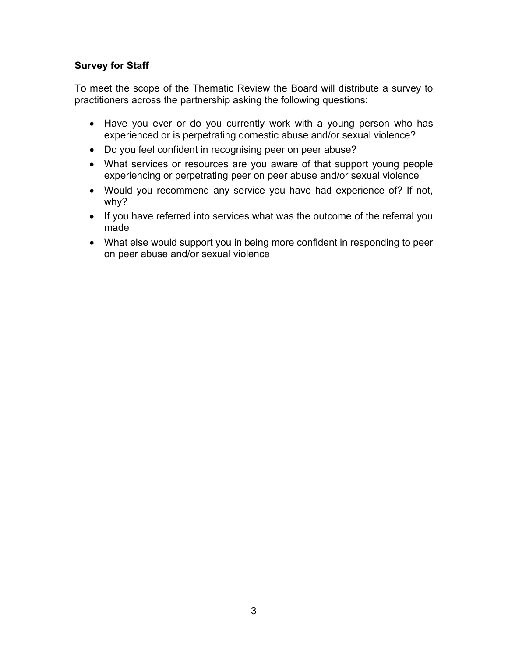## **Survey for Staff**

To meet the scope of the Thematic Review the Board will distribute a survey to practitioners across the partnership asking the following questions:

- Have you ever or do you currently work with a young person who has experienced or is perpetrating domestic abuse and/or sexual violence?
- Do you feel confident in recognising peer on peer abuse?
- What services or resources are you aware of that support young people experiencing or perpetrating peer on peer abuse and/or sexual violence
- Would you recommend any service you have had experience of? If not, why?
- If you have referred into services what was the outcome of the referral you made
- What else would support you in being more confident in responding to peer on peer abuse and/or sexual violence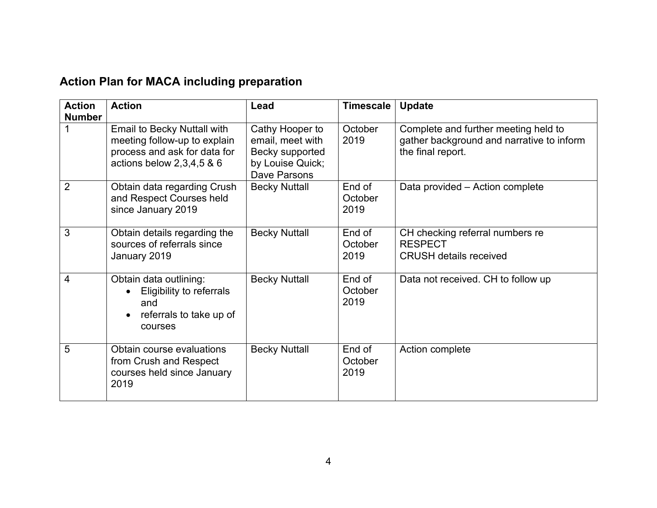# **Action Plan for MACA including preparation**

| <b>Action</b><br><b>Number</b> | <b>Action</b>                                                                                                                   | <b>Lead</b>                                                                                | <b>Timescale</b>          | <b>Update</b>                                                                                          |
|--------------------------------|---------------------------------------------------------------------------------------------------------------------------------|--------------------------------------------------------------------------------------------|---------------------------|--------------------------------------------------------------------------------------------------------|
|                                | <b>Email to Becky Nuttall with</b><br>meeting follow-up to explain<br>process and ask for data for<br>actions below 2,3,4,5 & 6 | Cathy Hooper to<br>email, meet with<br>Becky supported<br>by Louise Quick;<br>Dave Parsons | October<br>2019           | Complete and further meeting held to<br>gather background and narrative to inform<br>the final report. |
| $\overline{2}$                 | Obtain data regarding Crush<br>and Respect Courses held<br>since January 2019                                                   | <b>Becky Nuttall</b>                                                                       | End of<br>October<br>2019 | Data provided - Action complete                                                                        |
| 3                              | Obtain details regarding the<br>sources of referrals since<br>January 2019                                                      | <b>Becky Nuttall</b>                                                                       | End of<br>October<br>2019 | CH checking referral numbers re<br><b>RESPECT</b><br><b>CRUSH details received</b>                     |
| 4                              | Obtain data outlining:<br>Eligibility to referrals<br>and<br>referrals to take up of<br>$\bullet$<br>courses                    | <b>Becky Nuttall</b>                                                                       | End of<br>October<br>2019 | Data not received. CH to follow up                                                                     |
| 5                              | Obtain course evaluations<br>from Crush and Respect<br>courses held since January<br>2019                                       | <b>Becky Nuttall</b>                                                                       | End of<br>October<br>2019 | Action complete                                                                                        |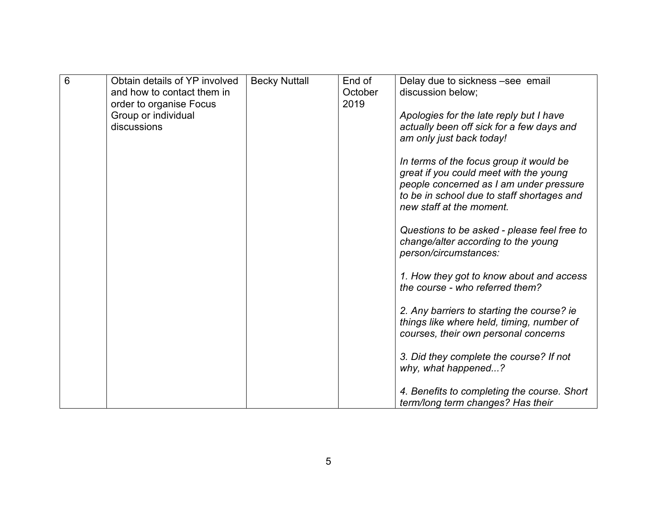| 6 | Obtain details of YP involved | <b>Becky Nuttall</b> | End of  | Delay due to sickness -see email            |
|---|-------------------------------|----------------------|---------|---------------------------------------------|
|   | and how to contact them in    |                      | October | discussion below:                           |
|   | order to organise Focus       |                      | 2019    |                                             |
|   | Group or individual           |                      |         | Apologies for the late reply but I have     |
|   | discussions                   |                      |         |                                             |
|   |                               |                      |         | actually been off sick for a few days and   |
|   |                               |                      |         | am only just back today!                    |
|   |                               |                      |         |                                             |
|   |                               |                      |         | In terms of the focus group it would be     |
|   |                               |                      |         | great if you could meet with the young      |
|   |                               |                      |         | people concerned as I am under pressure     |
|   |                               |                      |         | to be in school due to staff shortages and  |
|   |                               |                      |         | new staff at the moment.                    |
|   |                               |                      |         |                                             |
|   |                               |                      |         | Questions to be asked - please feel free to |
|   |                               |                      |         | change/alter according to the young         |
|   |                               |                      |         | person/circumstances:                       |
|   |                               |                      |         |                                             |
|   |                               |                      |         | 1. How they got to know about and access    |
|   |                               |                      |         | the course - who referred them?             |
|   |                               |                      |         |                                             |
|   |                               |                      |         |                                             |
|   |                               |                      |         | 2. Any barriers to starting the course? ie  |
|   |                               |                      |         | things like where held, timing, number of   |
|   |                               |                      |         | courses, their own personal concerns        |
|   |                               |                      |         |                                             |
|   |                               |                      |         | 3. Did they complete the course? If not     |
|   |                               |                      |         | why, what happened?                         |
|   |                               |                      |         |                                             |
|   |                               |                      |         | 4. Benefits to completing the course. Short |
|   |                               |                      |         | term/long term changes? Has their           |